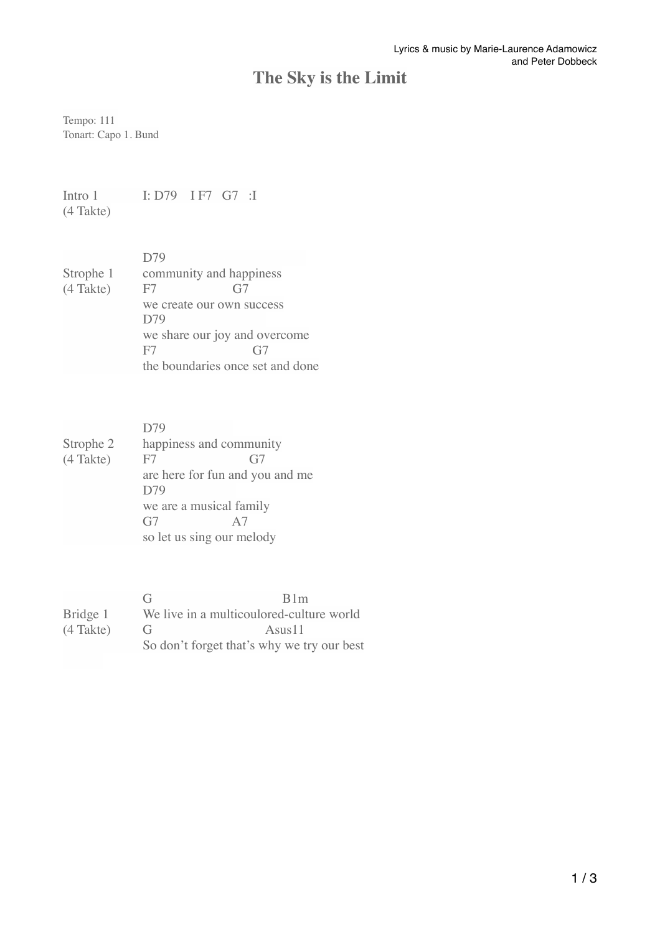## **The Sky is the Limit**

Tempo: 111 Tonart: Capo 1. Bund

Intro 1 I: D79 I F7 G7 :I (4 Takte)

| D79                           |                                  |
|-------------------------------|----------------------------------|
| community and happiness       |                                  |
| F7                            | G7                               |
| we create our own success     |                                  |
| D79                           |                                  |
| we share our joy and overcome |                                  |
| F7                            | G <sub>i</sub>                   |
|                               | the boundaries once set and done |
|                               |                                  |

|             | D79                             |                           |  |
|-------------|---------------------------------|---------------------------|--|
| Strophe 2   | happiness and community         |                           |  |
| $(4$ Takte) | F7                              | G7                        |  |
|             | are here for fun and you and me |                           |  |
|             | D79                             |                           |  |
|             | we are a musical family         |                           |  |
|             | G7                              | A7                        |  |
|             |                                 | so let us sing our melody |  |

|             | (÷                    | R1m                                        |
|-------------|-----------------------|--------------------------------------------|
| Bridge 1    |                       | We live in a multicoulored-culture world   |
| $(4$ Takte) | <b>€</b> <del>⊥</del> | Asus <sub>11</sub>                         |
|             |                       | So don't forget that's why we try our best |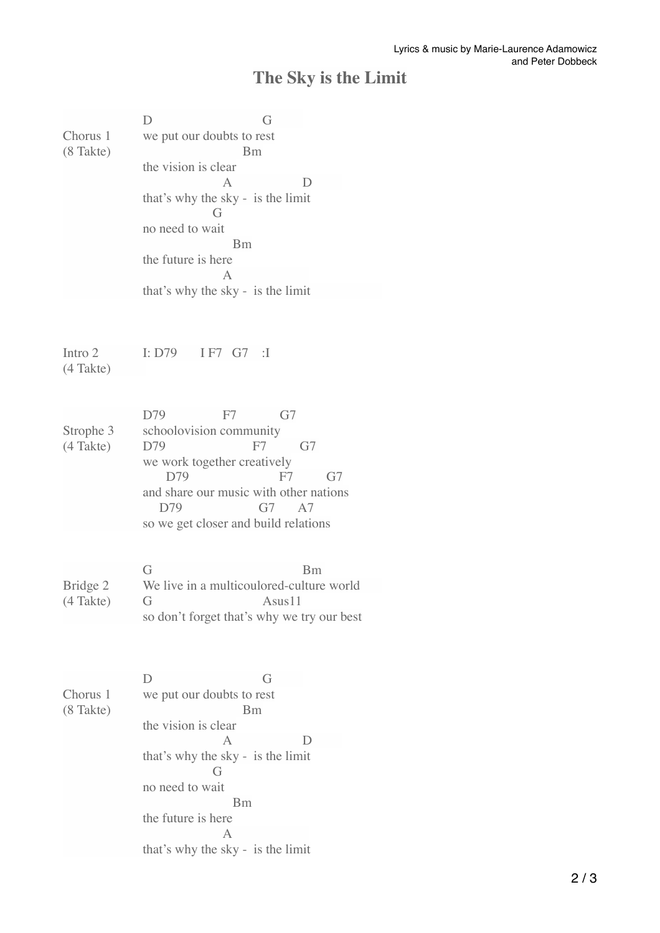## **The Sky is the Limit**

| Chorus 1<br>(8 Takte)    | D<br>G<br>we put our doubts to rest<br><b>Bm</b><br>the vision is clear<br>A<br>$\Box$<br>that's why the sky - is the limit<br>G<br>no need to wait<br>Bm<br>the future is here<br>$\mathsf{A}$<br>that's why the sky - is the limit |
|--------------------------|--------------------------------------------------------------------------------------------------------------------------------------------------------------------------------------------------------------------------------------|
| Intro 2<br>(4 Takte)     | I: D79 I F7 G7 :I                                                                                                                                                                                                                    |
| Strophe 3<br>$(4$ Takte) | G7<br>D79<br>F7<br>schoolovision community<br>F7<br>G7<br>D79<br>we work together creatively<br>D79<br>F7<br>G7<br>and share our music with other nations<br>D79<br>G7<br>A7<br>so we get closer and build relations                 |
| Bridge 2<br>(4 Takte)    | G<br><b>Bm</b><br>We live in a multicoulored-culture world<br>G<br>Asus11                                                                                                                                                            |
|                          | so don't forget that's why we try our best                                                                                                                                                                                           |
| Chorus 1<br>(8 Takte)    | D<br>G<br>we put our doubts to rest<br>Bm<br>the vision is clear<br>$\mathsf{A}$<br>$\Box$<br>that's why the sky - is the limit<br>G<br>no need to wait<br><b>Bm</b><br>the future is here<br>$\mathsf{A}$                           |
|                          | that's why the sky - is the limit                                                                                                                                                                                                    |